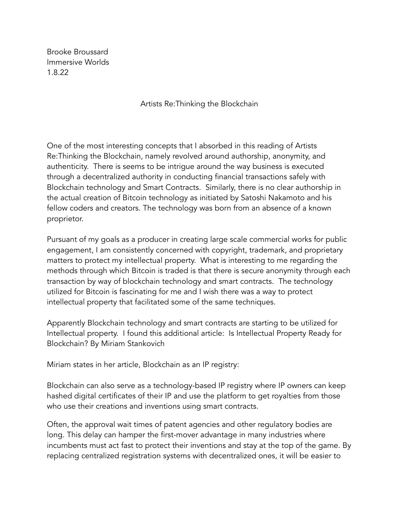Brooke Broussard Immersive Worlds 1.8.22

Artists Re:Thinking the Blockchain

One of the most interesting concepts that I absorbed in this reading of Artists Re:Thinking the Blockchain, namely revolved around authorship, anonymity, and authenticity. There is seems to be intrigue around the way business is executed through a decentralized authority in conducting financial transactions safely with Blockchain technology and Smart Contracts. Similarly, there is no clear authorship in the actual creation of Bitcoin technology as initiated by Satoshi Nakamoto and his fellow coders and creators. The technology was born from an absence of a known proprietor.

Pursuant of my goals as a producer in creating large scale commercial works for public engagement, I am consistently concerned with copyright, trademark, and proprietary matters to protect my intellectual property. What is interesting to me regarding the methods through which Bitcoin is traded is that there is secure anonymity through each transaction by way of blockchain technology and smart contracts. The technology utilized for Bitcoin is fascinating for me and I wish there was a way to protect intellectual property that facilitated some of the same techniques.

Apparently Blockchain technology and smart contracts are starting to be utilized for Intellectual property. I found this additional article: Is Intellectual Property Ready for Blockchain? By [Miriam Stankovich](https://dai-global-digital.com/authors/miriam-stankovich/)

Miriam states in her article, Blockchain as an IP registry:

Blockchain can also serve as a technology-based IP registry where IP owners can keep hashed digital certificates of their IP and use the platform to get royalties from those who use their creations and inventions using smart contracts.

Often, the approval wait times of patent agencies and other regulatory bodies are long. This delay can hamper the first-mover advantage in many industries where incumbents must act fast to protect their inventions and stay at the top of the game. By replacing centralized registration systems with decentralized ones, it will be easier to